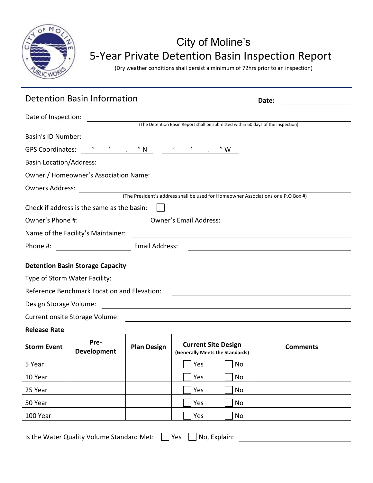

## City of Moline's 5-Year Private Detention Basin Inspection Report

(Dry weather conditions shall persist a minimum of 72hrs prior to an inspection)

|                                                                                                                                                 | <b>Detention Basin Information</b>                                                                                                                                                                                                                                                                                                                                                                    |                    | Date:                                                         |                 |  |  |  |
|-------------------------------------------------------------------------------------------------------------------------------------------------|-------------------------------------------------------------------------------------------------------------------------------------------------------------------------------------------------------------------------------------------------------------------------------------------------------------------------------------------------------------------------------------------------------|--------------------|---------------------------------------------------------------|-----------------|--|--|--|
| Date of Inspection:                                                                                                                             |                                                                                                                                                                                                                                                                                                                                                                                                       |                    |                                                               |                 |  |  |  |
| (The Detention Basin Report shall be submitted within 60 days of the inspection)                                                                |                                                                                                                                                                                                                                                                                                                                                                                                       |                    |                                                               |                 |  |  |  |
| Basin's ID Number:                                                                                                                              |                                                                                                                                                                                                                                                                                                                                                                                                       |                    |                                                               |                 |  |  |  |
| <b>GPS Coordinates:</b>                                                                                                                         | $\circ$ $\qquad$ $\qquad$ $\qquad$ $\qquad$ $\qquad$ $\qquad$ $\qquad$ $\qquad$ $\qquad$ $\qquad$ $\qquad$ $\qquad$ $\qquad$ $\qquad$ $\qquad$ $\qquad$ $\qquad$ $\qquad$ $\qquad$ $\qquad$ $\qquad$ $\qquad$ $\qquad$ $\qquad$ $\qquad$ $\qquad$ $\qquad$ $\qquad$ $\qquad$ $\qquad$ $\qquad$ $\qquad$ $\qquad$ $\qquad$ $\qquad$ $\qquad$<br>$\circ$ , $\prime$ , $\prime$ N<br>$^{\prime\prime}$ W |                    |                                                               |                 |  |  |  |
|                                                                                                                                                 |                                                                                                                                                                                                                                                                                                                                                                                                       |                    |                                                               |                 |  |  |  |
| Owner / Homeowner's Association Name:                                                                                                           |                                                                                                                                                                                                                                                                                                                                                                                                       |                    |                                                               |                 |  |  |  |
| <b>Owners Address:</b>                                                                                                                          |                                                                                                                                                                                                                                                                                                                                                                                                       |                    |                                                               |                 |  |  |  |
| (The President's address shall be used for Homeowner Associations or a P.O Box #)                                                               |                                                                                                                                                                                                                                                                                                                                                                                                       |                    |                                                               |                 |  |  |  |
| Check if address is the same as the basin:                                                                                                      |                                                                                                                                                                                                                                                                                                                                                                                                       |                    |                                                               |                 |  |  |  |
| Owner's Phone #: ________________________________ Owner's Email Address:                                                                        |                                                                                                                                                                                                                                                                                                                                                                                                       |                    |                                                               |                 |  |  |  |
|                                                                                                                                                 | Name of the Facility's Maintainer:                                                                                                                                                                                                                                                                                                                                                                    |                    | <u> 1989 - Johann Stein, fransk politik (d. 1989)</u>         |                 |  |  |  |
| Email Address:<br>Phone #:                                                                                                                      |                                                                                                                                                                                                                                                                                                                                                                                                       |                    |                                                               |                 |  |  |  |
| <b>Detention Basin Storage Capacity</b>                                                                                                         |                                                                                                                                                                                                                                                                                                                                                                                                       |                    |                                                               |                 |  |  |  |
|                                                                                                                                                 | Type of Storm Water Facility:                                                                                                                                                                                                                                                                                                                                                                         |                    |                                                               |                 |  |  |  |
|                                                                                                                                                 | Reference Benchmark Location and Elevation:                                                                                                                                                                                                                                                                                                                                                           |                    |                                                               |                 |  |  |  |
| Design Storage Volume:<br><u> 1989 - Johann Harry Harry Harry Harry Harry Harry Harry Harry Harry Harry Harry Harry Harry Harry Harry Harry</u> |                                                                                                                                                                                                                                                                                                                                                                                                       |                    |                                                               |                 |  |  |  |
| Current onsite Storage Volume:                                                                                                                  |                                                                                                                                                                                                                                                                                                                                                                                                       |                    |                                                               |                 |  |  |  |
| <b>Release Rate</b>                                                                                                                             |                                                                                                                                                                                                                                                                                                                                                                                                       |                    |                                                               |                 |  |  |  |
| <b>Storm Event</b>                                                                                                                              | Pre-<br><b>Development</b>                                                                                                                                                                                                                                                                                                                                                                            | <b>Plan Design</b> | <b>Current Site Design</b><br>(Generally Meets the Standards) | <b>Comments</b> |  |  |  |
| 5 Year                                                                                                                                          |                                                                                                                                                                                                                                                                                                                                                                                                       |                    | Yes<br>$\Box$ No                                              |                 |  |  |  |
| 10 Year                                                                                                                                         |                                                                                                                                                                                                                                                                                                                                                                                                       |                    | Yes<br>No                                                     |                 |  |  |  |
| 25 Year                                                                                                                                         |                                                                                                                                                                                                                                                                                                                                                                                                       |                    | Yes<br>No                                                     |                 |  |  |  |
| 50 Year                                                                                                                                         |                                                                                                                                                                                                                                                                                                                                                                                                       |                    | Yes<br>No                                                     |                 |  |  |  |
| 100 Year                                                                                                                                        |                                                                                                                                                                                                                                                                                                                                                                                                       |                    | Yes<br>No                                                     |                 |  |  |  |

Is the Water Quality Volume Standard Met:  $\Box$  Yes  $\Box$  No, Explain: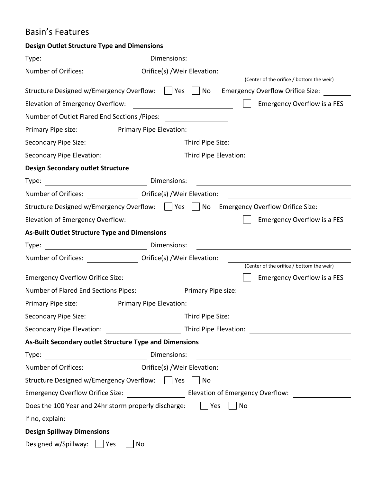## Basin's Features

| <b>Design Outlet Structure Type and Dimensions</b>                   |                                                                                                                      |  |  |  |  |
|----------------------------------------------------------------------|----------------------------------------------------------------------------------------------------------------------|--|--|--|--|
|                                                                      |                                                                                                                      |  |  |  |  |
| Number of Orifices: ____________________ Orifice(s) /Weir Elevation: |                                                                                                                      |  |  |  |  |
|                                                                      | (Center of the orifice / bottom the weir)                                                                            |  |  |  |  |
|                                                                      | Structure Designed w/Emergency Overflow: $\Box$ Yes $\Box$ No Emergency Overflow Orifice Size:                       |  |  |  |  |
| Elevation of Emergency Overflow:                                     | <b>Emergency Overflow is a FES</b>                                                                                   |  |  |  |  |
| Number of Outlet Flared End Sections / Pipes:                        | <u> 1980 - Jan Barbara III, martxa</u>                                                                               |  |  |  |  |
| Primary Pipe size: ____________ Primary Pipe Elevation:              |                                                                                                                      |  |  |  |  |
|                                                                      |                                                                                                                      |  |  |  |  |
|                                                                      |                                                                                                                      |  |  |  |  |
| <b>Design Secondary outlet Structure</b>                             |                                                                                                                      |  |  |  |  |
| Dimensions:<br>Type:                                                 |                                                                                                                      |  |  |  |  |
|                                                                      |                                                                                                                      |  |  |  |  |
|                                                                      | Structure Designed w/Emergency Overflow:     Yes     No Emergency Overflow Orifice Size:                             |  |  |  |  |
| Elevation of Emergency Overflow:                                     | <b>Emergency Overflow is a FES</b><br><u> 1980 - Johann Barbara, martxa amerikan p</u>                               |  |  |  |  |
| <b>As-Built Outlet Structure Type and Dimensions</b>                 |                                                                                                                      |  |  |  |  |
|                                                                      | <u> 1986 - John Stein, Amerikaansk konst</u>                                                                         |  |  |  |  |
| Number of Orifices: _______________                                  | Orifice(s) / Weir Elevation:                                                                                         |  |  |  |  |
|                                                                      | (Center of the orifice / bottom the weir)                                                                            |  |  |  |  |
|                                                                      | Emergency Overflow is a FES                                                                                          |  |  |  |  |
| Number of Flared End Sections Pipes: Primary Pipe size:              |                                                                                                                      |  |  |  |  |
| Primary Pipe size: Primary Pipe Elevation:                           |                                                                                                                      |  |  |  |  |
| Secondary Pipe Size:                                                 |                                                                                                                      |  |  |  |  |
|                                                                      |                                                                                                                      |  |  |  |  |
| As-Built Secondary outlet Structure Type and Dimensions              |                                                                                                                      |  |  |  |  |
|                                                                      | <u> 1989 - Andrea Station Barbara, amerikan personal (h. 1989)</u>                                                   |  |  |  |  |
|                                                                      |                                                                                                                      |  |  |  |  |
| Structure Designed w/Emergency Overflow: □ Yes                       | <b>No</b>                                                                                                            |  |  |  |  |
|                                                                      |                                                                                                                      |  |  |  |  |
| Does the 100 Year and 24hr storm properly discharge: $\vert$   Yes   | <b>No</b>                                                                                                            |  |  |  |  |
| If no, explain:                                                      | <u> 1980 - Johann Barn, mars ann an t-Amhain Aonaich an t-Aonaich an t-Aonaich ann an t-Aonaich ann an t-Aonaich</u> |  |  |  |  |
| <b>Design Spillway Dimensions</b>                                    |                                                                                                                      |  |  |  |  |
| Designed w/Spillway: Ves                                             | No                                                                                                                   |  |  |  |  |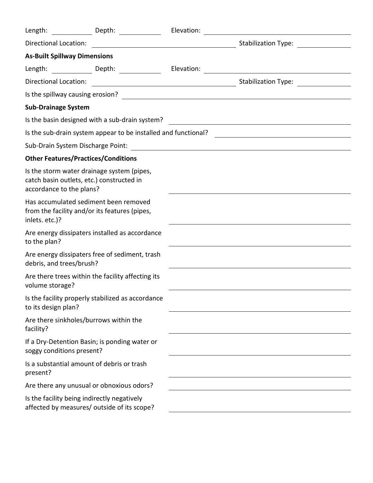| Length:                                                                                                             | Depth: ______________                             | Elevation: |                                                                                                                                                |
|---------------------------------------------------------------------------------------------------------------------|---------------------------------------------------|------------|------------------------------------------------------------------------------------------------------------------------------------------------|
| <b>Directional Location:</b>                                                                                        |                                                   |            |                                                                                                                                                |
| <b>As-Built Spillway Dimensions</b>                                                                                 |                                                   |            |                                                                                                                                                |
|                                                                                                                     |                                                   |            |                                                                                                                                                |
| Directional Location:                                                                                               |                                                   |            |                                                                                                                                                |
|                                                                                                                     |                                                   |            |                                                                                                                                                |
| <b>Sub-Drainage System</b>                                                                                          |                                                   |            |                                                                                                                                                |
|                                                                                                                     |                                                   |            | Is the basin designed with a sub-drain system?                                                                                                 |
|                                                                                                                     |                                                   |            | Is the sub-drain system appear to be installed and functional? [14] [14] [14] [15] the sub-drain system appear to be installed and functional? |
|                                                                                                                     |                                                   |            |                                                                                                                                                |
| <b>Other Features/Practices/Conditions</b>                                                                          |                                                   |            |                                                                                                                                                |
| Is the storm water drainage system (pipes,<br>catch basin outlets, etc.) constructed in<br>accordance to the plans? |                                                   |            |                                                                                                                                                |
| Has accumulated sediment been removed<br>from the facility and/or its features (pipes,<br>inlets. etc.)?            |                                                   |            |                                                                                                                                                |
| to the plan?                                                                                                        | Are energy dissipaters installed as accordance    |            |                                                                                                                                                |
| Are energy dissipaters free of sediment, trash<br>debris, and trees/brush?                                          |                                                   |            |                                                                                                                                                |
| volume storage?                                                                                                     | Are there trees within the facility affecting its |            |                                                                                                                                                |
| to its design plan?                                                                                                 | Is the facility properly stabilized as accordance |            |                                                                                                                                                |
| Are there sinkholes/burrows within the<br>facility?                                                                 |                                                   |            |                                                                                                                                                |
| soggy conditions present?                                                                                           | If a Dry-Detention Basin; is ponding water or     |            |                                                                                                                                                |
| Is a substantial amount of debris or trash<br>present?                                                              |                                                   |            |                                                                                                                                                |
| Are there any unusual or obnoxious odors?                                                                           |                                                   |            |                                                                                                                                                |
| Is the facility being indirectly negatively<br>affected by measures/ outside of its scope?                          |                                                   |            |                                                                                                                                                |